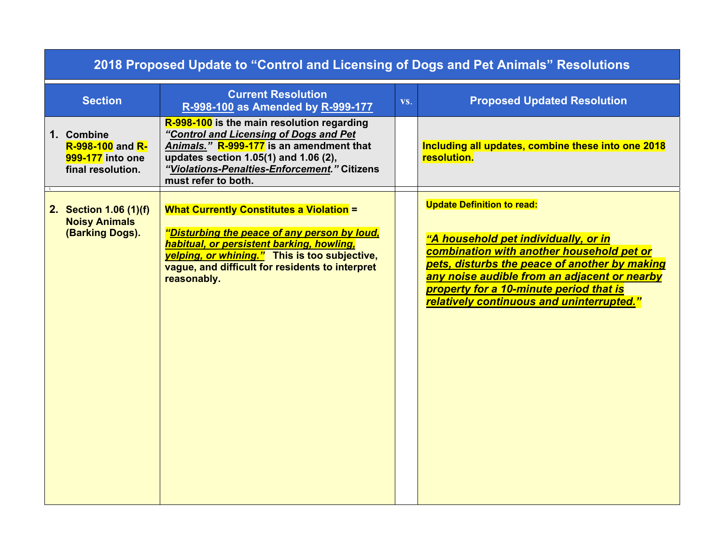| 2018 Proposed Update to "Control and Licensing of Dogs and Pet Animals" Resolutions |                                                                                                                                                                                                                                                                 |     |                                                                                                                                                                                                                                                                                                                 |  |  |  |
|-------------------------------------------------------------------------------------|-----------------------------------------------------------------------------------------------------------------------------------------------------------------------------------------------------------------------------------------------------------------|-----|-----------------------------------------------------------------------------------------------------------------------------------------------------------------------------------------------------------------------------------------------------------------------------------------------------------------|--|--|--|
| <b>Section</b>                                                                      | <b>Current Resolution</b><br>R-998-100 as Amended by R-999-177                                                                                                                                                                                                  | VS. | <b>Proposed Updated Resolution</b>                                                                                                                                                                                                                                                                              |  |  |  |
| 1. Combine<br><b>R-998-100 and R-</b><br>999-177 into one<br>final resolution.      | R-998-100 is the main resolution regarding<br>"Control and Licensing of Dogs and Pet<br>Animals." R-999-177 is an amendment that<br>updates section 1.05(1) and 1.06 (2),<br>"Violations-Penalties-Enforcement." Citizens<br>must refer to both.                |     | Including all updates, combine these into one 2018<br>resolution.                                                                                                                                                                                                                                               |  |  |  |
| 2. Section 1.06 (1)(f)<br><b>Noisy Animals</b><br>(Barking Dogs).                   | <b>What Currently Constitutes a Violation =</b><br>"Disturbing the peace of any person by loud,<br>habitual, or persistent barking, howling,<br>velping, or whining." This is too subjective,<br>vague, and difficult for residents to interpret<br>reasonably. |     | <b>Update Definition to read:</b><br>"A household pet individually, or in<br>combination with another household pet or<br>pets, disturbs the peace of another by making<br>any noise audible from an adjacent or nearby<br>property for a 10-minute period that is<br>relatively continuous and uninterrupted." |  |  |  |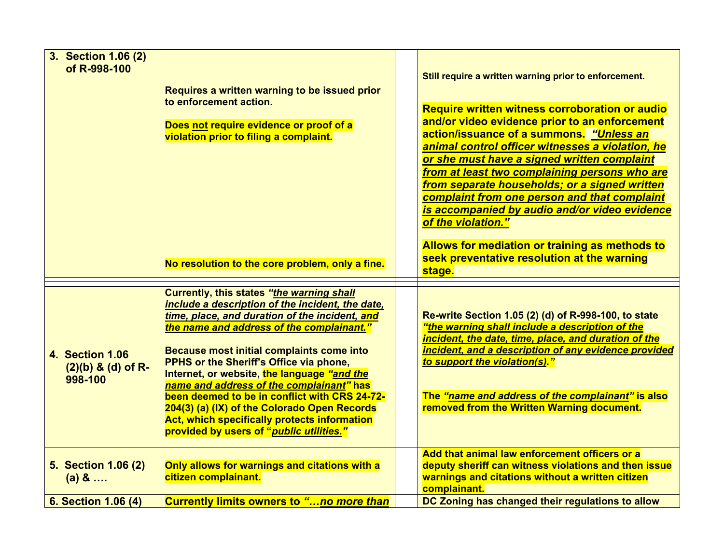| 3. Section 1.06 (2)<br>of R-998-100                          | Requires a written warning to be issued prior<br>to enforcement action.<br>Does not require evidence or proof of a<br>violation prior to filing a complaint.<br>No resolution to the core problem, only a fine.                                                                                                                                                                                                                                                                                                                                                              | Still require a written warning prior to enforcement.<br><b>Require written witness corroboration or audio</b><br>and/or video evidence prior to an enforcement<br>action/issuance of a summons. "Unless an<br>animal control officer witnesses a violation, he<br>or she must have a signed written complaint<br>from at least two complaining persons who are<br>from separate households; or a signed written<br>complaint from one person and that complaint<br>is accompanied by audio and/or video evidence<br>of the violation."<br>Allows for mediation or training as methods to<br>seek preventative resolution at the warning<br>stage. |
|--------------------------------------------------------------|------------------------------------------------------------------------------------------------------------------------------------------------------------------------------------------------------------------------------------------------------------------------------------------------------------------------------------------------------------------------------------------------------------------------------------------------------------------------------------------------------------------------------------------------------------------------------|----------------------------------------------------------------------------------------------------------------------------------------------------------------------------------------------------------------------------------------------------------------------------------------------------------------------------------------------------------------------------------------------------------------------------------------------------------------------------------------------------------------------------------------------------------------------------------------------------------------------------------------------------|
| <b>4. Section 1.06</b><br>$(2)(b)$ & $(d)$ of R-<br>998-100  | Currently, this states "the warning shall<br>include a description of the incident, the date,<br>time, place, and duration of the incident, and<br>the name and address of the complainant."<br>Because most initial complaints come into<br>PPHS or the Sheriff's Office via phone,<br>Internet, or website, the language "and the<br>name and address of the complainant" has<br>been deemed to be in conflict with CRS 24-72-<br>204(3) (a) (IX) of the Colorado Open Records<br>Act, which specifically protects information<br>provided by users of "public utilities." | Re-write Section 1.05 (2) (d) of R-998-100, to state<br>"the warning shall include a description of the<br>incident, the date, time, place, and duration of the<br>incident, and a description of any evidence provided<br>to support the violation(s)."<br>The "name and address of the complainant" is also<br>removed from the Written Warning document.                                                                                                                                                                                                                                                                                        |
| <b>5. Section 1.06 (2)</b><br>$(a) 8$<br>6. Section 1.06 (4) | Only allows for warnings and citations with a<br>citizen complainant.<br>Currently limits owners to "no more than                                                                                                                                                                                                                                                                                                                                                                                                                                                            | Add that animal law enforcement officers or a<br>deputy sheriff can witness violations and then issue<br>warnings and citations without a written citizen<br>complainant.<br>DC Zoning has changed their regulations to allow                                                                                                                                                                                                                                                                                                                                                                                                                      |